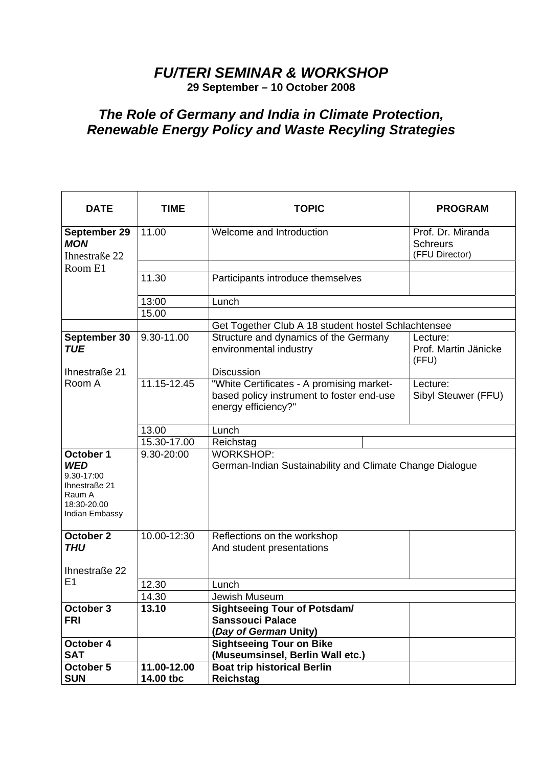## *FU/TERI SEMINAR & WORKSHOP*

**29 September – 10 October 2008** 

## *The Role of Germany and India in Climate Protection, Renewable Energy Policy and Waste Recyling Strategies*

| <b>DATE</b>                                                                                       | TIME                              | <b>TOPIC</b>                                                                                                  | <b>PROGRAM</b>                                         |  |
|---------------------------------------------------------------------------------------------------|-----------------------------------|---------------------------------------------------------------------------------------------------------------|--------------------------------------------------------|--|
| September 29<br><b>MON</b><br>Ihnestraße 22                                                       | 11.00<br>Welcome and Introduction |                                                                                                               | Prof. Dr. Miranda<br><b>Schreurs</b><br>(FFU Director) |  |
| Room E1                                                                                           |                                   |                                                                                                               |                                                        |  |
|                                                                                                   | 11.30                             | Participants introduce themselves                                                                             |                                                        |  |
|                                                                                                   | 13:00                             | Lunch                                                                                                         |                                                        |  |
|                                                                                                   | 15.00                             |                                                                                                               |                                                        |  |
|                                                                                                   |                                   | Get Together Club A 18 student hostel Schlachtensee                                                           |                                                        |  |
| September 30<br><b>TUE</b>                                                                        | 9.30-11.00                        | Structure and dynamics of the Germany<br>environmental industry                                               | Lecture:<br>Prof. Martin Jänicke<br>(FFU)              |  |
| Ihnestraße 21                                                                                     |                                   | <b>Discussion</b>                                                                                             |                                                        |  |
| Room A                                                                                            | 11.15-12.45                       | "White Certificates - A promising market-<br>based policy instrument to foster end-use<br>energy efficiency?" | Lecture:<br>Sibyl Steuwer (FFU)                        |  |
|                                                                                                   | 13.00                             | Lunch                                                                                                         |                                                        |  |
|                                                                                                   | 15.30-17.00                       | Reichstag                                                                                                     |                                                        |  |
| October 1<br><b>WED</b><br>9.30-17:00<br>Ihnestraße 21<br>Raum A<br>18:30-20.00<br>Indian Embassy | 9.30-20:00                        | <b>WORKSHOP:</b><br>German-Indian Sustainability and Climate Change Dialogue                                  |                                                        |  |
| October 2                                                                                         | 10.00-12:30                       | Reflections on the workshop                                                                                   |                                                        |  |
| <b>THU</b><br>Ihnestraße 22                                                                       |                                   | And student presentations                                                                                     |                                                        |  |
| E1                                                                                                | 12.30                             | Lunch                                                                                                         |                                                        |  |
|                                                                                                   | 14.30                             | Jewish Museum                                                                                                 |                                                        |  |
| October 3<br><b>FRI</b>                                                                           | 13.10                             | <b>Sightseeing Tour of Potsdam/</b><br><b>Sanssouci Palace</b><br>(Day of German Unity)                       |                                                        |  |
| October 4                                                                                         |                                   | <b>Sightseeing Tour on Bike</b>                                                                               |                                                        |  |
| <b>SAT</b>                                                                                        |                                   | (Museumsinsel, Berlin Wall etc.)                                                                              |                                                        |  |
| October 5<br><b>SUN</b>                                                                           | 11.00-12.00<br>14.00 tbc          | <b>Boat trip historical Berlin</b><br>Reichstag                                                               |                                                        |  |